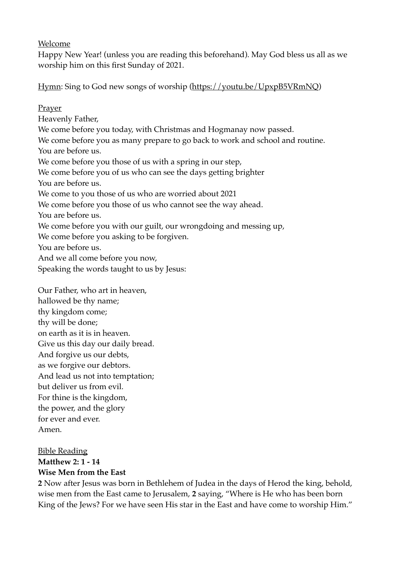Welcome

Happy New Year! (unless you are reading this beforehand). May God bless us all as we worship him on this first Sunday of 2021.

Hymn: Sing to God new songs of worship ([https://youtu.be/UpxpB5VRmNQ\)](https://youtu.be/UpxpB5VRmNQ) 

Prayer Heavenly Father, We come before you today, with Christmas and Hogmanay now passed. We come before you as many prepare to go back to work and school and routine. You are before us. We come before you those of us with a spring in our step, We come before you of us who can see the days getting brighter You are before us. We come to you those of us who are worried about 2021 We come before you those of us who cannot see the way ahead. You are before us. We come before you with our guilt, our wrongdoing and messing up, We come before you asking to be forgiven. You are before us. And we all come before you now, Speaking the words taught to us by Jesus:

Our Father, who art in heaven, hallowed be thy name; thy kingdom come; thy will be done; on earth as it is in heaven. Give us this day our daily bread. And forgive us our debts, as we forgive our debtors. And lead us not into temptation; but deliver us from evil. For thine is the kingdom, the power, and the glory for ever and ever. Amen.

Bible Reading **Matthew 2: 1 - 14 Wise Men from the East** 

**2** Now after Jesus was born in Bethlehem of Judea in the days of Herod the king, behold, wise men from the East came to Jerusalem, **2** saying, "Where is He who has been born King of the Jews? For we have seen His star in the East and have come to worship Him."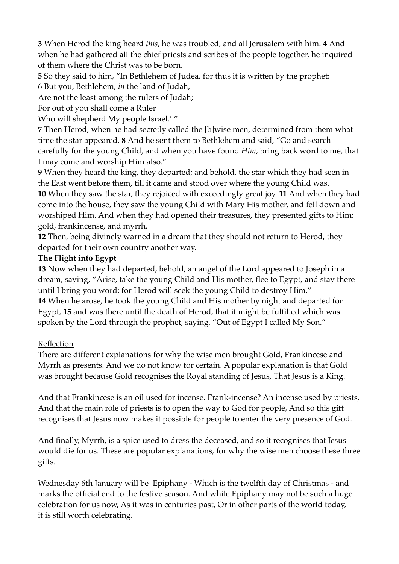**3** When Herod the king heard *this,* he was troubled, and all Jerusalem with him. **4** And when he had gathered all the chief priests and scribes of the people together, he inquired of them where the Christ was to be born.

**5** So they said to him, "In Bethlehem of Judea, for thus it is written by the prophet:

6 But you, Bethlehem, *in* the land of Judah,

Are not the least among the rulers of Judah;

For out of you shall come a Ruler

Who will shepherd My people Israel.' "

**7** Then Herod, when he had secretly called the [b]wise men, determined from them what time the star appeared. **8** And he sent them to Bethlehem and said, "Go and search carefully for the young Child, and when you have found *Him,* bring back word to me, that I may come and worship Him also."

**9** When they heard the king, they departed; and behold, the star which they had seen in the East went before them, till it came and stood over where the young Child was.

**10** When they saw the star, they rejoiced with exceedingly great joy. **11** And when they had come into the house, they saw the young Child with Mary His mother, and fell down and worshiped Him. And when they had opened their treasures, they presented gifts to Him: gold, frankincense, and myrrh.

**12** Then, being divinely warned in a dream that they should not return to Herod, they departed for their own country another way.

## **The Flight into Egypt**

**13** Now when they had departed, behold, an angel of the Lord appeared to Joseph in a dream, saying, "Arise, take the young Child and His mother, flee to Egypt, and stay there until I bring you word; for Herod will seek the young Child to destroy Him." **14** When he arose, he took the young Child and His mother by night and departed for Egypt, **15** and was there until the death of Herod, that it might be fulfilled which was spoken by the Lord through the prophet, saying, "Out of Egypt I called My Son."

## Reflection

There are different explanations for why the wise men brought Gold, Frankincese and Myrrh as presents. And we do not know for certain. A popular explanation is that Gold was brought because Gold recognises the Royal standing of Jesus, That Jesus is a King.

And that Frankincese is an oil used for incense. Frank-incense? An incense used by priests, And that the main role of priests is to open the way to God for people, And so this gift recognises that Jesus now makes it possible for people to enter the very presence of God.

And finally, Myrrh, is a spice used to dress the deceased, and so it recognises that Jesus would die for us. These are popular explanations, for why the wise men choose these three gifts.

Wednesday 6th January will be Epiphany - Which is the twelfth day of Christmas - and marks the official end to the festive season. And while Epiphany may not be such a huge celebration for us now, As it was in centuries past, Or in other parts of the world today, it is still worth celebrating.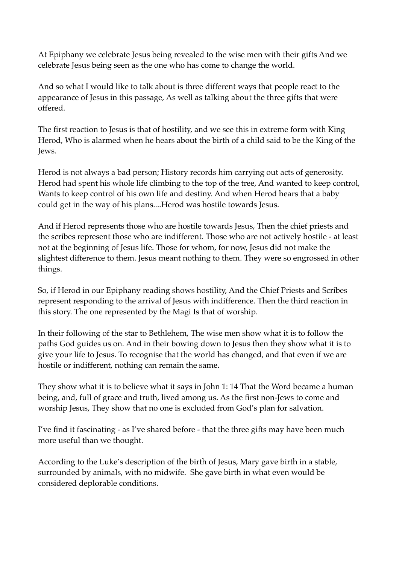At Epiphany we celebrate Jesus being revealed to the wise men with their gifts And we celebrate Jesus being seen as the one who has come to change the world.

And so what I would like to talk about is three different ways that people react to the appearance of Jesus in this passage, As well as talking about the three gifts that were offered.

The first reaction to Jesus is that of hostility, and we see this in extreme form with King Herod, Who is alarmed when he hears about the birth of a child said to be the King of the Jews.

Herod is not always a bad person; History records him carrying out acts of generosity. Herod had spent his whole life climbing to the top of the tree, And wanted to keep control, Wants to keep control of his own life and destiny. And when Herod hears that a baby could get in the way of his plans....Herod was hostile towards Jesus.

And if Herod represents those who are hostile towards Jesus, Then the chief priests and the scribes represent those who are indifferent. Those who are not actively hostile - at least not at the beginning of Jesus life. Those for whom, for now, Jesus did not make the slightest difference to them. Jesus meant nothing to them. They were so engrossed in other things.

So, if Herod in our Epiphany reading shows hostility, And the Chief Priests and Scribes represent responding to the arrival of Jesus with indifference. Then the third reaction in this story. The one represented by the Magi Is that of worship.

In their following of the star to Bethlehem, The wise men show what it is to follow the paths God guides us on. And in their bowing down to Jesus then they show what it is to give your life to Jesus. To recognise that the world has changed, and that even if we are hostile or indifferent, nothing can remain the same.

They show what it is to believe what it says in John 1: 14 That the Word became a human being, and, full of grace and truth, lived among us. As the first non-Jews to come and worship Jesus, They show that no one is excluded from God's plan for salvation.

I've find it fascinating - as I've shared before - that the three gifts may have been much more useful than we thought.

According to the Luke's description of the birth of Jesus, Mary gave birth in a stable, surrounded by animals, with no midwife. She gave birth in what even would be considered deplorable conditions.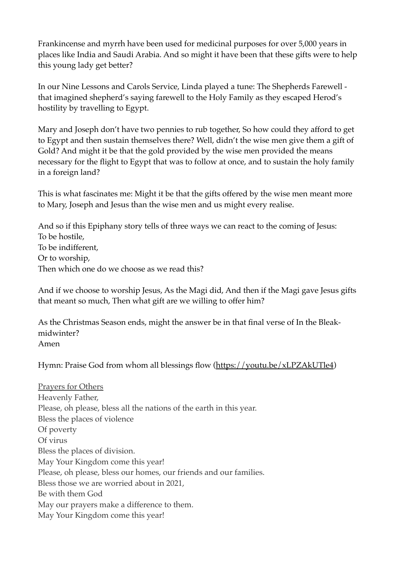Frankincense and myrrh have been used for medicinal purposes for over 5,000 years in places like India and Saudi Arabia. And so might it have been that these gifts were to help this young lady get better?

In our Nine Lessons and Carols Service, Linda played a tune: The Shepherds Farewell that imagined shepherd's saying farewell to the Holy Family as they escaped Herod's hostility by travelling to Egypt.

Mary and Joseph don't have two pennies to rub together, So how could they afford to get to Egypt and then sustain themselves there? Well, didn't the wise men give them a gift of Gold? And might it be that the gold provided by the wise men provided the means necessary for the flight to Egypt that was to follow at once, and to sustain the holy family in a foreign land?

This is what fascinates me: Might it be that the gifts offered by the wise men meant more to Mary, Joseph and Jesus than the wise men and us might every realise.

And so if this Epiphany story tells of three ways we can react to the coming of Jesus: To be hostile, To be indifferent, Or to worship, Then which one do we choose as we read this?

And if we choose to worship Jesus, As the Magi did, And then if the Magi gave Jesus gifts that meant so much, Then what gift are we willing to offer him?

As the Christmas Season ends, might the answer be in that final verse of In the Bleakmidwinter? Amen

Hymn: Praise God from whom all blessings flow (https://youtu.be/xLPZAkUTle4)

Prayers for Others Heavenly Father, Please, oh please, bless all the nations of the earth in this year. Bless the places of violence Of poverty Of virus Bless the places of division. May Your Kingdom come this year! Please, oh please, bless our homes, our friends and our families. Bless those we are worried about in 2021, Be with them God May our prayers make a difference to them. May Your Kingdom come this year!